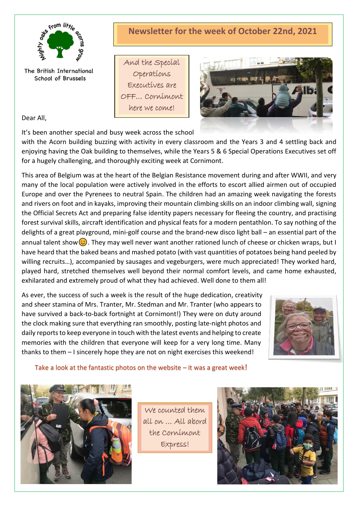

The British International School of Brussels

# **Newsletter for the week of October 22nd, 2021**

And the Special Operations Executives are OFF… Cornimont here we come!



Dear All,

It's been another special and busy week across the school

with the Acorn building buzzing with activity in every classroom and the Years 3 and 4 settling back and enjoying having the Oak building to themselves, while the Years 5 & 6 Special Operations Executives set off for a hugely challenging, and thoroughly exciting week at Cornimont.

This area of Belgium was at the heart of the Belgian Resistance movement during and after WWII, and very many of the local population were actively involved in the efforts to escort allied airmen out of occupied Europe and over the Pyrenees to neutral Spain. The children had an amazing week navigating the forests and rivers on foot and in kayaks, improving their mountain climbing skills on an indoor climbing wall, signing the Official Secrets Act and preparing false identity papers necessary for fleeing the country, and practising forest survival skills, aircraft identification and physical feats for a modern pentathlon. To say nothing of the delights of a great playground, mini-golf course and the brand-new disco light ball – an essential part of the annual talent show  $\odot$ . They may well never want another rationed lunch of cheese or chicken wraps, but I have heard that the baked beans and mashed potato (with vast quantities of potatoes being hand peeled by willing recruits...), accompanied by sausages and vegeburgers, were much appreciated! They worked hard, played hard, stretched themselves well beyond their normal comfort levels, and came home exhausted, exhilarated and extremely proud of what they had achieved. Well done to them all!

As ever, the success of such a week is the result of the huge dedication, creativity and sheer stamina of Mrs. Tranter, Mr. Stedman and Mr. Tranter (who appears to have survived a back-to-back fortnight at Cornimont!) They were on duty around the clock making sure that everything ran smoothly, posting late-night photos and daily reports to keep everyone in touch with the latest events and helping to create memories with the children that everyone will keep for a very long time. Many thanks to them – I sincerely hope they are not on night exercises this weekend!



### Take a look at the fantastic photos on the website – it was a great week!



We counted them all on … All abord the Cornimont Express!

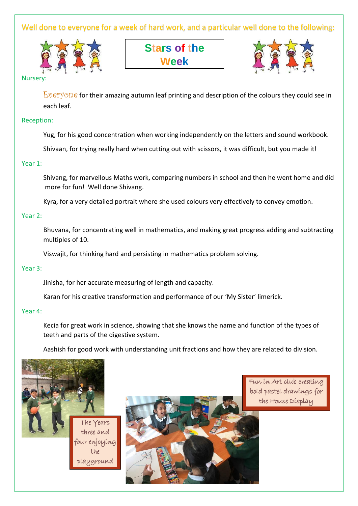Well done to everyone for a week of hard work, and a particular well done to the following:



**Stars of the Week**



Nursery:

Everyone for their amazing autumn leaf printing and description of the colours they could see in each leaf.

#### Reception:

Yug, for his good concentration when working independently on the letters and sound workbook.

Shivaan, for trying really hard when cutting out with scissors, it was difficult, but you made it!

#### Year 1:

Shivang, for marvellous Maths work, comparing numbers in school and then he went home and did more for fun! Well done Shivang.

Kyra, for a very detailed portrait where she used colours very effectively to convey emotion.

#### Year 2:

Bhuvana, for concentrating well in mathematics, and making great progress adding and subtracting multiples of 10.

Viswajit, for thinking hard and persisting in mathematics problem solving.

#### Year 3:

Jinisha, for her accurate measuring of length and capacity.

Karan for his creative transformation and performance of our 'My Sister' limerick.

#### Year 4:

Kecia for great work in science, showing that she knows the name and function of the types of teeth and parts of the digestive system.

Aashish for good work with understanding unit fractions and how they are related to division.





Fun in Art club creating bold pastel drawings for the House Display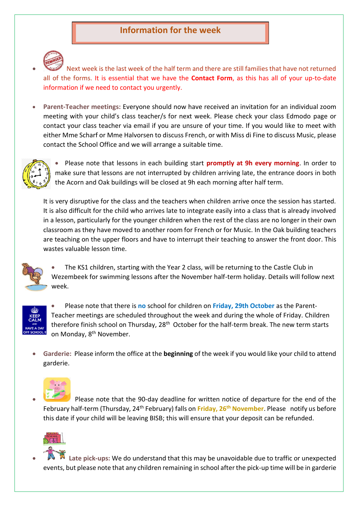## **Information for the week**



• Next week is the last week of the half term and there are still families that have not returned all of the forms. It is essential that we have the **Contact Form**, as this has all of your up-to-date information if we need to contact you urgently.

• **Parent-Teacher meetings:** Everyone should now have received an invitation for an individual zoom meeting with your child's class teacher/s for next week. Please check your class Edmodo page or contact your class teacher via email if you are unsure of your time. If you would like to meet with either Mme Scharf or Mme Halvorsen to discuss French, or with Miss di Fine to discuss Music, please contact the School Office and we will arrange a suitable time.



• Please note that lessons in each building start **promptly at 9h every morning**. In order to make sure that lessons are not interrupted by children arriving late, the entrance doors in both the Acorn and Oak buildings will be closed at 9h each morning after half term.

It is very disruptive for the class and the teachers when children arrive once the session has started. It is also difficult for the child who arrives late to integrate easily into a class that is already involved in a lesson, particularly for the younger children when the rest of the class are no longer in their own classroom as they have moved to another room for French or for Music. In the Oak building teachers are teaching on the upper floors and have to interrupt their teaching to answer the front door. This wastes valuable lesson time.



• The KS1 children, starting with the Year 2 class, will be returning to the Castle Club in Wezembeek for swimming lessons after the November half-term holiday. Details will follow next week.



• Please note that there is **no** school for children on **Friday, 29th October** as the Parent-Teacher meetings are scheduled throughout the week and during the whole of Friday. Children therefore finish school on Thursday, 28<sup>th</sup> October for the half-term break. The new term starts on Monday, 8<sup>th</sup> November.

• **Garderie:** Please inform the office at the **beginning** of the week if you would like your child to attend garderie.



• Please note that the 90-day deadline for written notice of departure for the end of the February half-term (Thursday, 24th February) falls on **Friday, 26th November**. Please notify us before this date if your child will be leaving BISB; this will ensure that your deposit can be refunded.



• **Late pick-ups:** We do understand that this may be unavoidable due to traffic or unexpected events, but please note that any children remaining in school after the pick-up time will be in garderie